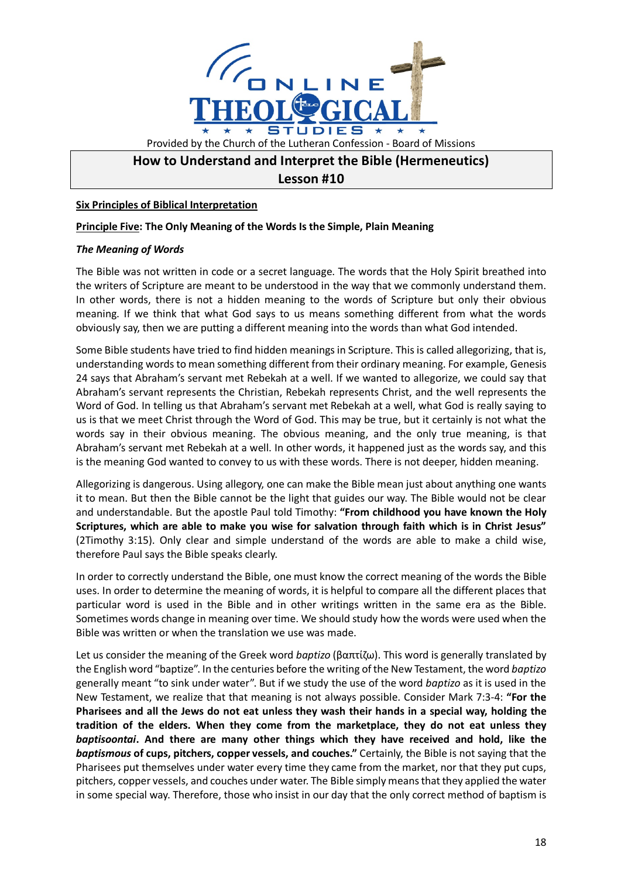

# **How to Understand and Interpret the Bible (Hermeneutics)**

# **Lesson #10**

## **Six Principles of Biblical Interpretation**

#### **Principle Five: The Only Meaning of the Words Is the Simple, Plain Meaning**

#### *The Meaning of Words*

The Bible was not written in code or a secret language. The words that the Holy Spirit breathed into the writers of Scripture are meant to be understood in the way that we commonly understand them. In other words, there is not a hidden meaning to the words of Scripture but only their obvious meaning. If we think that what God says to us means something different from what the words obviously say, then we are putting a different meaning into the words than what God intended.

Some Bible students have tried to find hidden meanings in Scripture. This is called allegorizing, that is, understanding words to mean something different from their ordinary meaning. For example, Genesis 24 says that Abraham's servant met Rebekah at a well. If we wanted to allegorize, we could say that Abraham's servant represents the Christian, Rebekah represents Christ, and the well represents the Word of God. In telling us that Abraham's servant met Rebekah at a well, what God is really saying to us is that we meet Christ through the Word of God. This may be true, but it certainly is not what the words say in their obvious meaning. The obvious meaning, and the only true meaning, is that Abraham's servant met Rebekah at a well. In other words, it happened just as the words say, and this is the meaning God wanted to convey to us with these words. There is not deeper, hidden meaning.

Allegorizing is dangerous. Using allegory, one can make the Bible mean just about anything one wants it to mean. But then the Bible cannot be the light that guides our way. The Bible would not be clear and understandable. But the apostle Paul told Timothy: **"From childhood you have known the Holy Scriptures, which are able to make you wise for salvation through faith which is in Christ Jesus"**  (2Timothy 3:15). Only clear and simple understand of the words are able to make a child wise, therefore Paul says the Bible speaks clearly.

In order to correctly understand the Bible, one must know the correct meaning of the words the Bible uses. In order to determine the meaning of words, it is helpful to compare all the different places that particular word is used in the Bible and in other writings written in the same era as the Bible. Sometimes words change in meaning over time. We should study how the words were used when the Bible was written or when the translation we use was made.

Let us consider the meaning of the Greek word *baptizo* (βαπτίζω). This word is generally translated by the English word "baptize". In the centuries before the writing of the New Testament, the word *baptizo* generally meant "to sink under water". But if we study the use of the word *baptizo* as it is used in the New Testament, we realize that that meaning is not always possible. Consider Mark 7:3-4: **"For the Pharisees and all the Jews do not eat unless they wash their hands in a special way, holding the tradition of the elders. When they come from the marketplace, they do not eat unless they**  *baptisoontai***. And there are many other things which they have received and hold, like the**  *baptismous* **of cups, pitchers, copper vessels, and couches."** Certainly, the Bible is not saying that the Pharisees put themselves under water every time they came from the market, nor that they put cups, pitchers, copper vessels, and couches under water. The Bible simply meansthat they applied the water in some special way. Therefore, those who insist in our day that the only correct method of baptism is